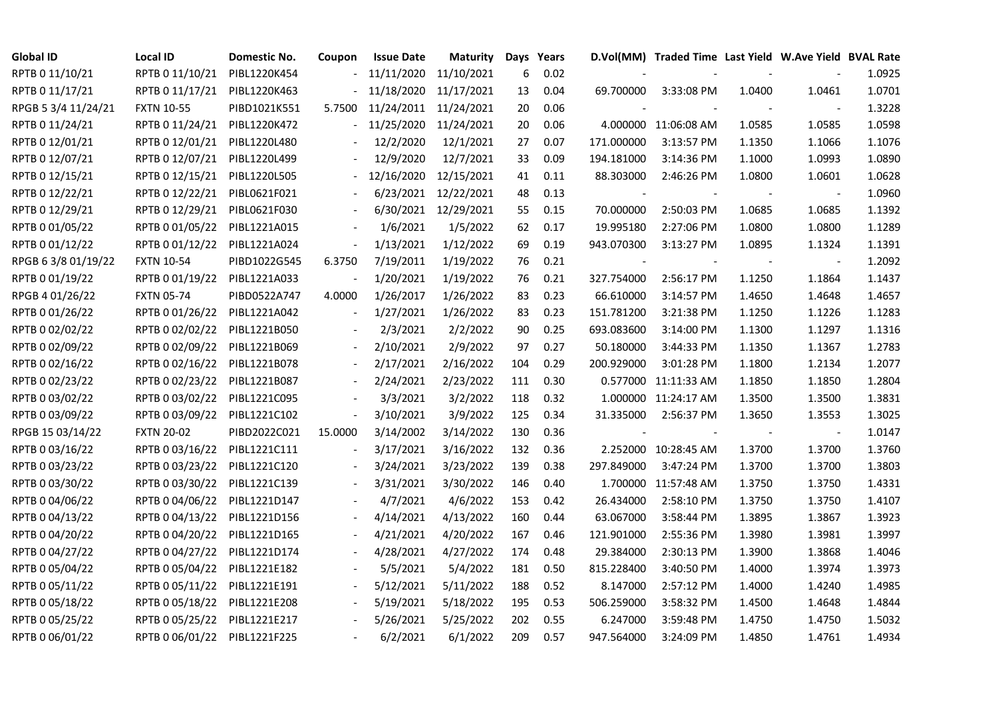| Global ID           | Local ID                     | Domestic No. | Coupon         | <b>Issue Date</b> | <b>Maturity</b> | Days | Years |                          | D.Vol(MM) Traded Time Last Yield W.Ave Yield BVAL Rate |        |                          |        |
|---------------------|------------------------------|--------------|----------------|-------------------|-----------------|------|-------|--------------------------|--------------------------------------------------------|--------|--------------------------|--------|
| RPTB 0 11/10/21     | RPTB 0 11/10/21              | PIBL1220K454 |                | 11/11/2020        | 11/10/2021      | 6    | 0.02  |                          |                                                        |        |                          | 1.0925 |
| RPTB 0 11/17/21     | RPTB 0 11/17/21              | PIBL1220K463 |                | 11/18/2020        | 11/17/2021      | 13   | 0.04  | 69.700000                | 3:33:08 PM                                             | 1.0400 | 1.0461                   | 1.0701 |
| RPGB 5 3/4 11/24/21 | <b>FXTN 10-55</b>            | PIBD1021K551 | 5.7500         | 11/24/2011        | 11/24/2021      | 20   | 0.06  |                          |                                                        |        |                          | 1.3228 |
| RPTB 0 11/24/21     | RPTB 0 11/24/21              | PIBL1220K472 |                | 11/25/2020        | 11/24/2021      | 20   | 0.06  |                          | 4.000000 11:06:08 AM                                   | 1.0585 | 1.0585                   | 1.0598 |
| RPTB 0 12/01/21     | RPTB 0 12/01/21              | PIBL1220L480 |                | 12/2/2020         | 12/1/2021       | 27   | 0.07  | 171.000000               | 3:13:57 PM                                             | 1.1350 | 1.1066                   | 1.1076 |
| RPTB 0 12/07/21     | RPTB 0 12/07/21              | PIBL1220L499 |                | 12/9/2020         | 12/7/2021       | 33   | 0.09  | 194.181000               | 3:14:36 PM                                             | 1.1000 | 1.0993                   | 1.0890 |
| RPTB 0 12/15/21     | RPTB 0 12/15/21              | PIBL1220L505 |                | 12/16/2020        | 12/15/2021      | 41   | 0.11  | 88.303000                | 2:46:26 PM                                             | 1.0800 | 1.0601                   | 1.0628 |
| RPTB 0 12/22/21     | RPTB 0 12/22/21              | PIBL0621F021 |                | 6/23/2021         | 12/22/2021      | 48   | 0.13  | $\overline{\phantom{a}}$ |                                                        |        | $\overline{\phantom{a}}$ | 1.0960 |
| RPTB 0 12/29/21     | RPTB 0 12/29/21              | PIBL0621F030 |                | 6/30/2021         | 12/29/2021      | 55   | 0.15  | 70.000000                | 2:50:03 PM                                             | 1.0685 | 1.0685                   | 1.1392 |
| RPTB 0 01/05/22     | RPTB 0 01/05/22              | PIBL1221A015 |                | 1/6/2021          | 1/5/2022        | 62   | 0.17  | 19.995180                | 2:27:06 PM                                             | 1.0800 | 1.0800                   | 1.1289 |
| RPTB 0 01/12/22     | RPTB 0 01/12/22              | PIBL1221A024 |                | 1/13/2021         | 1/12/2022       | 69   | 0.19  | 943.070300               | 3:13:27 PM                                             | 1.0895 | 1.1324                   | 1.1391 |
| RPGB 63/8 01/19/22  | <b>FXTN 10-54</b>            | PIBD1022G545 | 6.3750         | 7/19/2011         | 1/19/2022       | 76   | 0.21  |                          |                                                        |        | $\overline{\phantom{a}}$ | 1.2092 |
| RPTB 0 01/19/22     | RPTB 0 01/19/22              | PIBL1221A033 |                | 1/20/2021         | 1/19/2022       | 76   | 0.21  | 327.754000               | 2:56:17 PM                                             | 1.1250 | 1.1864                   | 1.1437 |
| RPGB 4 01/26/22     | <b>FXTN 05-74</b>            | PIBD0522A747 | 4.0000         | 1/26/2017         | 1/26/2022       | 83   | 0.23  | 66.610000                | 3:14:57 PM                                             | 1.4650 | 1.4648                   | 1.4657 |
| RPTB 0 01/26/22     | RPTB 0 01/26/22              | PIBL1221A042 |                | 1/27/2021         | 1/26/2022       | 83   | 0.23  | 151.781200               | 3:21:38 PM                                             | 1.1250 | 1.1226                   | 1.1283 |
| RPTB 0 02/02/22     | RPTB 0 02/02/22              | PIBL1221B050 |                | 2/3/2021          | 2/2/2022        | 90   | 0.25  | 693.083600               | 3:14:00 PM                                             | 1.1300 | 1.1297                   | 1.1316 |
| RPTB 0 02/09/22     | RPTB 0 02/09/22              | PIBL1221B069 |                | 2/10/2021         | 2/9/2022        | 97   | 0.27  | 50.180000                | 3:44:33 PM                                             | 1.1350 | 1.1367                   | 1.2783 |
| RPTB 0 02/16/22     | RPTB 0 02/16/22              | PIBL1221B078 |                | 2/17/2021         | 2/16/2022       | 104  | 0.29  | 200.929000               | 3:01:28 PM                                             | 1.1800 | 1.2134                   | 1.2077 |
| RPTB 0 02/23/22     | RPTB 0 02/23/22              | PIBL1221B087 |                | 2/24/2021         | 2/23/2022       | 111  | 0.30  |                          | 0.577000 11:11:33 AM                                   | 1.1850 | 1.1850                   | 1.2804 |
| RPTB 0 03/02/22     | RPTB 0 03/02/22              | PIBL1221C095 |                | 3/3/2021          | 3/2/2022        | 118  | 0.32  |                          | 1.000000 11:24:17 AM                                   | 1.3500 | 1.3500                   | 1.3831 |
| RPTB 0 03/09/22     | RPTB 0 03/09/22              | PIBL1221C102 | $\blacksquare$ | 3/10/2021         | 3/9/2022        | 125  | 0.34  | 31.335000                | 2:56:37 PM                                             | 1.3650 | 1.3553                   | 1.3025 |
| RPGB 15 03/14/22    | <b>FXTN 20-02</b>            | PIBD2022C021 | 15.0000        | 3/14/2002         | 3/14/2022       | 130  | 0.36  |                          |                                                        |        | $\overline{\phantom{a}}$ | 1.0147 |
| RPTB 0 03/16/22     | RPTB 0 03/16/22              | PIBL1221C111 |                | 3/17/2021         | 3/16/2022       | 132  | 0.36  |                          | 2.252000 10:28:45 AM                                   | 1.3700 | 1.3700                   | 1.3760 |
| RPTB 0 03/23/22     | RPTB 0 03/23/22              | PIBL1221C120 |                | 3/24/2021         | 3/23/2022       | 139  | 0.38  | 297.849000               | 3:47:24 PM                                             | 1.3700 | 1.3700                   | 1.3803 |
| RPTB 0 03/30/22     | RPTB 0 03/30/22              | PIBL1221C139 |                | 3/31/2021         | 3/30/2022       | 146  | 0.40  |                          | 1.700000 11:57:48 AM                                   | 1.3750 | 1.3750                   | 1.4331 |
| RPTB 0 04/06/22     | RPTB 0 04/06/22              | PIBL1221D147 |                | 4/7/2021          | 4/6/2022        | 153  | 0.42  | 26.434000                | 2:58:10 PM                                             | 1.3750 | 1.3750                   | 1.4107 |
| RPTB 0 04/13/22     | RPTB 0 04/13/22              | PIBL1221D156 |                | 4/14/2021         | 4/13/2022       | 160  | 0.44  | 63.067000                | 3:58:44 PM                                             | 1.3895 | 1.3867                   | 1.3923 |
| RPTB 0 04/20/22     | RPTB 0 04/20/22              | PIBL1221D165 |                | 4/21/2021         | 4/20/2022       | 167  | 0.46  | 121.901000               | 2:55:36 PM                                             | 1.3980 | 1.3981                   | 1.3997 |
| RPTB 0 04/27/22     | RPTB 0 04/27/22              | PIBL1221D174 |                | 4/28/2021         | 4/27/2022       | 174  | 0.48  | 29.384000                | 2:30:13 PM                                             | 1.3900 | 1.3868                   | 1.4046 |
| RPTB 0 05/04/22     | RPTB 0 05/04/22              | PIBL1221E182 |                | 5/5/2021          | 5/4/2022        | 181  | 0.50  | 815.228400               | 3:40:50 PM                                             | 1.4000 | 1.3974                   | 1.3973 |
| RPTB 0 05/11/22     | RPTB 0 05/11/22              | PIBL1221E191 |                | 5/12/2021         | 5/11/2022       | 188  | 0.52  | 8.147000                 | 2:57:12 PM                                             | 1.4000 | 1.4240                   | 1.4985 |
| RPTB 0 05/18/22     | RPTB 0 05/18/22              | PIBL1221E208 |                | 5/19/2021         | 5/18/2022       | 195  | 0.53  | 506.259000               | 3:58:32 PM                                             | 1.4500 | 1.4648                   | 1.4844 |
| RPTB 0 05/25/22     | RPTB 0 05/25/22              | PIBL1221E217 |                | 5/26/2021         | 5/25/2022       | 202  | 0.55  | 6.247000                 | 3:59:48 PM                                             | 1.4750 | 1.4750                   | 1.5032 |
| RPTB 0 06/01/22     | RPTB 0 06/01/22 PIBL1221F225 |              |                | 6/2/2021          | 6/1/2022        | 209  | 0.57  | 947.564000               | 3:24:09 PM                                             | 1.4850 | 1.4761                   | 1.4934 |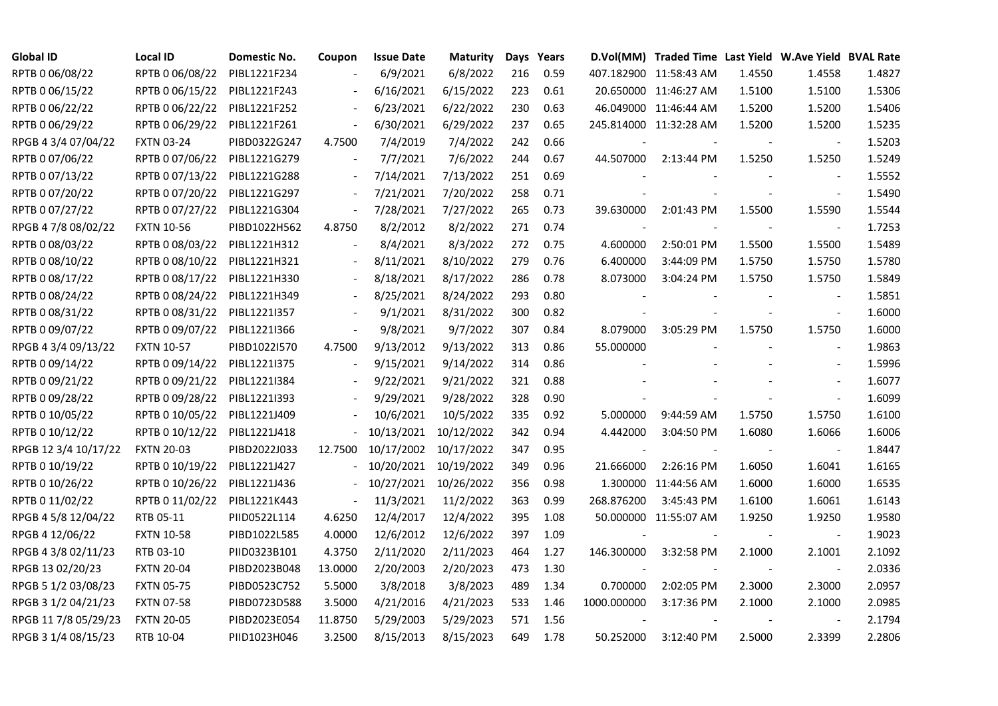| <b>Global ID</b>     | <b>Local ID</b>   | Domestic No. | Coupon         | <b>Issue Date</b> | Maturity   |     | Days Years |             | D.Vol(MM) Traded Time Last Yield W.Ave Yield BVAL Rate |        |                          |        |
|----------------------|-------------------|--------------|----------------|-------------------|------------|-----|------------|-------------|--------------------------------------------------------|--------|--------------------------|--------|
| RPTB 0 06/08/22      | RPTB 0 06/08/22   | PIBL1221F234 |                | 6/9/2021          | 6/8/2022   | 216 | 0.59       |             | 407.182900 11:58:43 AM                                 | 1.4550 | 1.4558                   | 1.4827 |
| RPTB 0 06/15/22      | RPTB 0 06/15/22   | PIBL1221F243 |                | 6/16/2021         | 6/15/2022  | 223 | 0.61       |             | 20.650000 11:46:27 AM                                  | 1.5100 | 1.5100                   | 1.5306 |
| RPTB 0 06/22/22      | RPTB 0 06/22/22   | PIBL1221F252 |                | 6/23/2021         | 6/22/2022  | 230 | 0.63       |             | 46.049000 11:46:44 AM                                  | 1.5200 | 1.5200                   | 1.5406 |
| RPTB 0 06/29/22      | RPTB 0 06/29/22   | PIBL1221F261 |                | 6/30/2021         | 6/29/2022  | 237 | 0.65       |             | 245.814000 11:32:28 AM                                 | 1.5200 | 1.5200                   | 1.5235 |
| RPGB 4 3/4 07/04/22  | <b>FXTN 03-24</b> | PIBD0322G247 | 4.7500         | 7/4/2019          | 7/4/2022   | 242 | 0.66       |             |                                                        |        | $\blacksquare$           | 1.5203 |
| RPTB 0 07/06/22      | RPTB 0 07/06/22   | PIBL1221G279 |                | 7/7/2021          | 7/6/2022   | 244 | 0.67       | 44.507000   | 2:13:44 PM                                             | 1.5250 | 1.5250                   | 1.5249 |
| RPTB 0 07/13/22      | RPTB 0 07/13/22   | PIBL1221G288 |                | 7/14/2021         | 7/13/2022  | 251 | 0.69       |             |                                                        |        | $\blacksquare$           | 1.5552 |
| RPTB 0 07/20/22      | RPTB 0 07/20/22   | PIBL1221G297 |                | 7/21/2021         | 7/20/2022  | 258 | 0.71       |             |                                                        |        | $\sim$                   | 1.5490 |
| RPTB 0 07/27/22      | RPTB 0 07/27/22   | PIBL1221G304 |                | 7/28/2021         | 7/27/2022  | 265 | 0.73       | 39.630000   | 2:01:43 PM                                             | 1.5500 | 1.5590                   | 1.5544 |
| RPGB 4 7/8 08/02/22  | <b>FXTN 10-56</b> | PIBD1022H562 | 4.8750         | 8/2/2012          | 8/2/2022   | 271 | 0.74       |             |                                                        |        | $\blacksquare$           | 1.7253 |
| RPTB 0 08/03/22      | RPTB 0 08/03/22   | PIBL1221H312 | $\blacksquare$ | 8/4/2021          | 8/3/2022   | 272 | 0.75       | 4.600000    | 2:50:01 PM                                             | 1.5500 | 1.5500                   | 1.5489 |
| RPTB 0 08/10/22      | RPTB 0 08/10/22   | PIBL1221H321 |                | 8/11/2021         | 8/10/2022  | 279 | 0.76       | 6.400000    | 3:44:09 PM                                             | 1.5750 | 1.5750                   | 1.5780 |
| RPTB 0 08/17/22      | RPTB 0 08/17/22   | PIBL1221H330 |                | 8/18/2021         | 8/17/2022  | 286 | 0.78       | 8.073000    | 3:04:24 PM                                             | 1.5750 | 1.5750                   | 1.5849 |
| RPTB 0 08/24/22      | RPTB 0 08/24/22   | PIBL1221H349 |                | 8/25/2021         | 8/24/2022  | 293 | 0.80       |             |                                                        |        | $\blacksquare$           | 1.5851 |
| RPTB 0 08/31/22      | RPTB 0 08/31/22   | PIBL1221I357 |                | 9/1/2021          | 8/31/2022  | 300 | 0.82       |             |                                                        |        | $\blacksquare$           | 1.6000 |
| RPTB 0 09/07/22      | RPTB 0 09/07/22   | PIBL1221I366 |                | 9/8/2021          | 9/7/2022   | 307 | 0.84       | 8.079000    | 3:05:29 PM                                             | 1.5750 | 1.5750                   | 1.6000 |
| RPGB 4 3/4 09/13/22  | <b>FXTN 10-57</b> | PIBD1022I570 | 4.7500         | 9/13/2012         | 9/13/2022  | 313 | 0.86       | 55.000000   |                                                        |        | $\sim$                   | 1.9863 |
| RPTB 0 09/14/22      | RPTB 0 09/14/22   | PIBL1221I375 |                | 9/15/2021         | 9/14/2022  | 314 | 0.86       |             |                                                        |        | $\overline{\phantom{a}}$ | 1.5996 |
| RPTB 0 09/21/22      | RPTB 0 09/21/22   | PIBL1221I384 |                | 9/22/2021         | 9/21/2022  | 321 | 0.88       |             |                                                        |        | $\overline{a}$           | 1.6077 |
| RPTB 0 09/28/22      | RPTB 0 09/28/22   | PIBL1221I393 |                | 9/29/2021         | 9/28/2022  | 328 | 0.90       |             |                                                        |        | $\blacksquare$           | 1.6099 |
| RPTB 0 10/05/22      | RPTB 0 10/05/22   | PIBL1221J409 |                | 10/6/2021         | 10/5/2022  | 335 | 0.92       | 5.000000    | 9:44:59 AM                                             | 1.5750 | 1.5750                   | 1.6100 |
| RPTB 0 10/12/22      | RPTB 0 10/12/22   | PIBL1221J418 |                | 10/13/2021        | 10/12/2022 | 342 | 0.94       | 4.442000    | 3:04:50 PM                                             | 1.6080 | 1.6066                   | 1.6006 |
| RPGB 12 3/4 10/17/22 | <b>FXTN 20-03</b> | PIBD2022J033 | 12.7500        | 10/17/2002        | 10/17/2022 | 347 | 0.95       |             |                                                        |        |                          | 1.8447 |
| RPTB 0 10/19/22      | RPTB 0 10/19/22   | PIBL1221J427 |                | 10/20/2021        | 10/19/2022 | 349 | 0.96       | 21.666000   | 2:26:16 PM                                             | 1.6050 | 1.6041                   | 1.6165 |
| RPTB 0 10/26/22      | RPTB 0 10/26/22   | PIBL1221J436 | $\sim$         | 10/27/2021        | 10/26/2022 | 356 | 0.98       |             | 1.300000 11:44:56 AM                                   | 1.6000 | 1.6000                   | 1.6535 |
| RPTB 0 11/02/22      | RPTB 0 11/02/22   | PIBL1221K443 | $\Box$         | 11/3/2021         | 11/2/2022  | 363 | 0.99       | 268.876200  | 3:45:43 PM                                             | 1.6100 | 1.6061                   | 1.6143 |
| RPGB 4 5/8 12/04/22  | RTB 05-11         | PIID0522L114 | 4.6250         | 12/4/2017         | 12/4/2022  | 395 | 1.08       |             | 50.000000 11:55:07 AM                                  | 1.9250 | 1.9250                   | 1.9580 |
| RPGB 4 12/06/22      | <b>FXTN 10-58</b> | PIBD1022L585 | 4.0000         | 12/6/2012         | 12/6/2022  | 397 | 1.09       |             |                                                        |        | $\blacksquare$           | 1.9023 |
| RPGB 4 3/8 02/11/23  | RTB 03-10         | PIID0323B101 | 4.3750         | 2/11/2020         | 2/11/2023  | 464 | 1.27       | 146.300000  | 3:32:58 PM                                             | 2.1000 | 2.1001                   | 2.1092 |
| RPGB 13 02/20/23     | <b>FXTN 20-04</b> | PIBD2023B048 | 13.0000        | 2/20/2003         | 2/20/2023  | 473 | 1.30       |             |                                                        |        | $\sim$                   | 2.0336 |
| RPGB 5 1/2 03/08/23  | <b>FXTN 05-75</b> | PIBD0523C752 | 5.5000         | 3/8/2018          | 3/8/2023   | 489 | 1.34       | 0.700000    | 2:02:05 PM                                             | 2.3000 | 2.3000                   | 2.0957 |
| RPGB 3 1/2 04/21/23  | <b>FXTN 07-58</b> | PIBD0723D588 | 3.5000         | 4/21/2016         | 4/21/2023  | 533 | 1.46       | 1000.000000 | 3:17:36 PM                                             | 2.1000 | 2.1000                   | 2.0985 |
| RPGB 11 7/8 05/29/23 | <b>FXTN 20-05</b> | PIBD2023E054 | 11.8750        | 5/29/2003         | 5/29/2023  | 571 | 1.56       |             |                                                        |        |                          | 2.1794 |
| RPGB 3 1/4 08/15/23  | RTB 10-04         | PIID1023H046 | 3.2500         | 8/15/2013         | 8/15/2023  | 649 | 1.78       | 50.252000   | 3:12:40 PM                                             | 2.5000 | 2.3399                   | 2.2806 |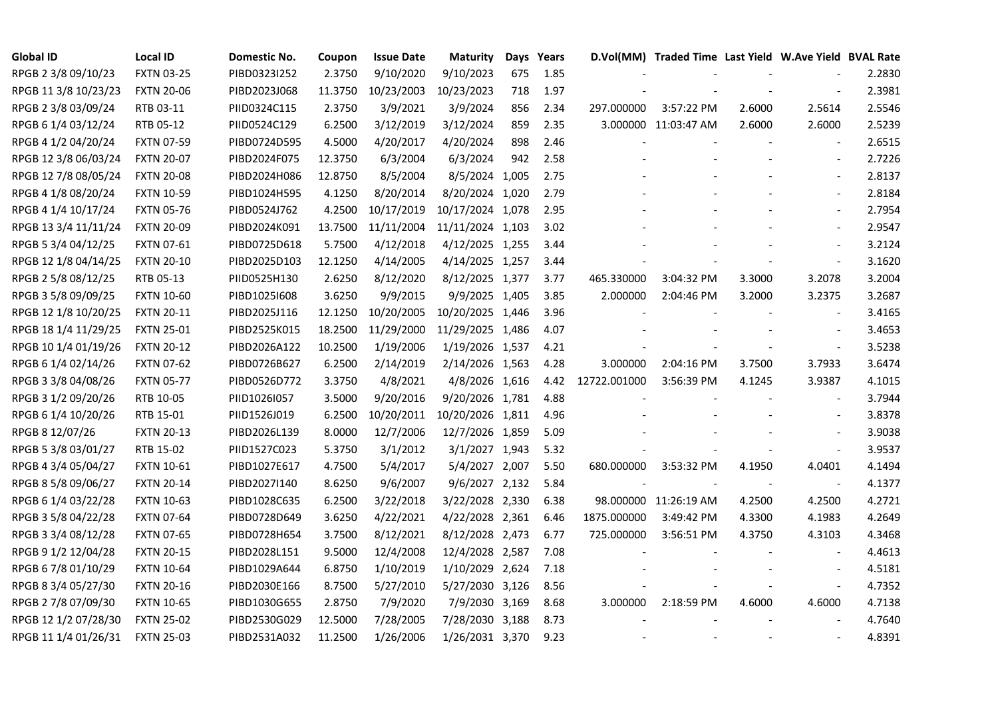| <b>Global ID</b>     | <b>Local ID</b>   | Domestic No. | Coupon  | <b>Issue Date</b> | <b>Maturity</b>  |     | Days Years |              | D.Vol(MM) Traded Time Last Yield W.Ave Yield BVAL Rate |                |                          |        |
|----------------------|-------------------|--------------|---------|-------------------|------------------|-----|------------|--------------|--------------------------------------------------------|----------------|--------------------------|--------|
| RPGB 2 3/8 09/10/23  | <b>FXTN 03-25</b> | PIBD0323I252 | 2.3750  | 9/10/2020         | 9/10/2023        | 675 | 1.85       |              |                                                        |                |                          | 2.2830 |
| RPGB 11 3/8 10/23/23 | <b>FXTN 20-06</b> | PIBD2023J068 | 11.3750 | 10/23/2003        | 10/23/2023       | 718 | 1.97       |              |                                                        |                |                          | 2.3981 |
| RPGB 2 3/8 03/09/24  | RTB 03-11         | PIID0324C115 | 2.3750  | 3/9/2021          | 3/9/2024         | 856 | 2.34       | 297.000000   | 3:57:22 PM                                             | 2.6000         | 2.5614                   | 2.5546 |
| RPGB 6 1/4 03/12/24  | RTB 05-12         | PIID0524C129 | 6.2500  | 3/12/2019         | 3/12/2024        | 859 | 2.35       |              | 3.000000 11:03:47 AM                                   | 2.6000         | 2.6000                   | 2.5239 |
| RPGB 4 1/2 04/20/24  | <b>FXTN 07-59</b> | PIBD0724D595 | 4.5000  | 4/20/2017         | 4/20/2024        | 898 | 2.46       |              |                                                        |                |                          | 2.6515 |
| RPGB 12 3/8 06/03/24 | <b>FXTN 20-07</b> | PIBD2024F075 | 12.3750 | 6/3/2004          | 6/3/2024         | 942 | 2.58       |              |                                                        |                | $\overline{\phantom{a}}$ | 2.7226 |
| RPGB 12 7/8 08/05/24 | <b>FXTN 20-08</b> | PIBD2024H086 | 12.8750 | 8/5/2004          | 8/5/2024 1,005   |     | 2.75       |              |                                                        |                |                          | 2.8137 |
| RPGB 4 1/8 08/20/24  | <b>FXTN 10-59</b> | PIBD1024H595 | 4.1250  | 8/20/2014         | 8/20/2024 1,020  |     | 2.79       |              |                                                        |                |                          | 2.8184 |
| RPGB 4 1/4 10/17/24  | <b>FXTN 05-76</b> | PIBD0524J762 | 4.2500  | 10/17/2019        | 10/17/2024 1,078 |     | 2.95       |              |                                                        |                |                          | 2.7954 |
| RPGB 13 3/4 11/11/24 | <b>FXTN 20-09</b> | PIBD2024K091 | 13.7500 | 11/11/2004        | 11/11/2024 1,103 |     | 3.02       |              |                                                        |                |                          | 2.9547 |
| RPGB 5 3/4 04/12/25  | <b>FXTN 07-61</b> | PIBD0725D618 | 5.7500  | 4/12/2018         | 4/12/2025 1,255  |     | 3.44       |              |                                                        |                |                          | 3.2124 |
| RPGB 12 1/8 04/14/25 | <b>FXTN 20-10</b> | PIBD2025D103 | 12.1250 | 4/14/2005         | 4/14/2025 1,257  |     | 3.44       |              |                                                        |                | $\blacksquare$           | 3.1620 |
| RPGB 2 5/8 08/12/25  | RTB 05-13         | PIID0525H130 | 2.6250  | 8/12/2020         | 8/12/2025 1,377  |     | 3.77       | 465.330000   | 3:04:32 PM                                             | 3.3000         | 3.2078                   | 3.2004 |
| RPGB 3 5/8 09/09/25  | <b>FXTN 10-60</b> | PIBD10251608 | 3.6250  | 9/9/2015          | 9/9/2025 1,405   |     | 3.85       | 2.000000     | 2:04:46 PM                                             | 3.2000         | 3.2375                   | 3.2687 |
| RPGB 12 1/8 10/20/25 | <b>FXTN 20-11</b> | PIBD2025J116 | 12.1250 | 10/20/2005        | 10/20/2025 1,446 |     | 3.96       |              |                                                        |                |                          | 3.4165 |
| RPGB 18 1/4 11/29/25 | <b>FXTN 25-01</b> | PIBD2525K015 | 18.2500 | 11/29/2000        | 11/29/2025 1,486 |     | 4.07       |              |                                                        |                |                          | 3.4653 |
| RPGB 10 1/4 01/19/26 | <b>FXTN 20-12</b> | PIBD2026A122 | 10.2500 | 1/19/2006         | 1/19/2026 1,537  |     | 4.21       |              |                                                        |                |                          | 3.5238 |
| RPGB 6 1/4 02/14/26  | <b>FXTN 07-62</b> | PIBD0726B627 | 6.2500  | 2/14/2019         | 2/14/2026 1,563  |     | 4.28       | 3.000000     | 2:04:16 PM                                             | 3.7500         | 3.7933                   | 3.6474 |
| RPGB 3 3/8 04/08/26  | <b>FXTN 05-77</b> | PIBD0526D772 | 3.3750  | 4/8/2021          | 4/8/2026 1,616   |     | 4.42       | 12722.001000 | 3:56:39 PM                                             | 4.1245         | 3.9387                   | 4.1015 |
| RPGB 3 1/2 09/20/26  | RTB 10-05         | PIID1026I057 | 3.5000  | 9/20/2016         | 9/20/2026 1,781  |     | 4.88       |              |                                                        |                |                          | 3.7944 |
| RPGB 6 1/4 10/20/26  | RTB 15-01         | PIID1526J019 | 6.2500  | 10/20/2011        | 10/20/2026 1,811 |     | 4.96       |              |                                                        |                |                          | 3.8378 |
| RPGB 8 12/07/26      | <b>FXTN 20-13</b> | PIBD2026L139 | 8.0000  | 12/7/2006         | 12/7/2026 1,859  |     | 5.09       |              |                                                        |                |                          | 3.9038 |
| RPGB 5 3/8 03/01/27  | RTB 15-02         | PIID1527C023 | 5.3750  | 3/1/2012          | 3/1/2027 1,943   |     | 5.32       |              |                                                        |                |                          | 3.9537 |
| RPGB 4 3/4 05/04/27  | <b>FXTN 10-61</b> | PIBD1027E617 | 4.7500  | 5/4/2017          | 5/4/2027 2,007   |     | 5.50       | 680.000000   | 3:53:32 PM                                             | 4.1950         | 4.0401                   | 4.1494 |
| RPGB 8 5/8 09/06/27  | <b>FXTN 20-14</b> | PIBD2027I140 | 8.6250  | 9/6/2007          | 9/6/2027 2,132   |     | 5.84       |              |                                                        | $\blacksquare$ | $\overline{\phantom{a}}$ | 4.1377 |
| RPGB 6 1/4 03/22/28  | <b>FXTN 10-63</b> | PIBD1028C635 | 6.2500  | 3/22/2018         | 3/22/2028 2,330  |     | 6.38       |              | 98.000000 11:26:19 AM                                  | 4.2500         | 4.2500                   | 4.2721 |
| RPGB 3 5/8 04/22/28  | <b>FXTN 07-64</b> | PIBD0728D649 | 3.6250  | 4/22/2021         | 4/22/2028 2,361  |     | 6.46       | 1875.000000  | 3:49:42 PM                                             | 4.3300         | 4.1983                   | 4.2649 |
| RPGB 3 3/4 08/12/28  | <b>FXTN 07-65</b> | PIBD0728H654 | 3.7500  | 8/12/2021         | 8/12/2028 2,473  |     | 6.77       | 725.000000   | 3:56:51 PM                                             | 4.3750         | 4.3103                   | 4.3468 |
| RPGB 9 1/2 12/04/28  | <b>FXTN 20-15</b> | PIBD2028L151 | 9.5000  | 12/4/2008         | 12/4/2028 2,587  |     | 7.08       |              |                                                        |                |                          | 4.4613 |
| RPGB 67/8 01/10/29   | <b>FXTN 10-64</b> | PIBD1029A644 | 6.8750  | 1/10/2019         | 1/10/2029 2,624  |     | 7.18       |              |                                                        |                |                          | 4.5181 |
| RPGB 8 3/4 05/27/30  | <b>FXTN 20-16</b> | PIBD2030E166 | 8.7500  | 5/27/2010         | 5/27/2030 3,126  |     | 8.56       |              |                                                        |                | $\overline{\phantom{a}}$ | 4.7352 |
| RPGB 2 7/8 07/09/30  | <b>FXTN 10-65</b> | PIBD1030G655 | 2.8750  | 7/9/2020          | 7/9/2030 3,169   |     | 8.68       | 3.000000     | 2:18:59 PM                                             | 4.6000         | 4.6000                   | 4.7138 |
| RPGB 12 1/2 07/28/30 | <b>FXTN 25-02</b> | PIBD2530G029 | 12.5000 | 7/28/2005         | 7/28/2030 3,188  |     | 8.73       |              |                                                        |                |                          | 4.7640 |
| RPGB 11 1/4 01/26/31 | <b>FXTN 25-03</b> | PIBD2531A032 | 11.2500 | 1/26/2006         | 1/26/2031 3,370  |     | 9.23       |              |                                                        |                |                          | 4.8391 |